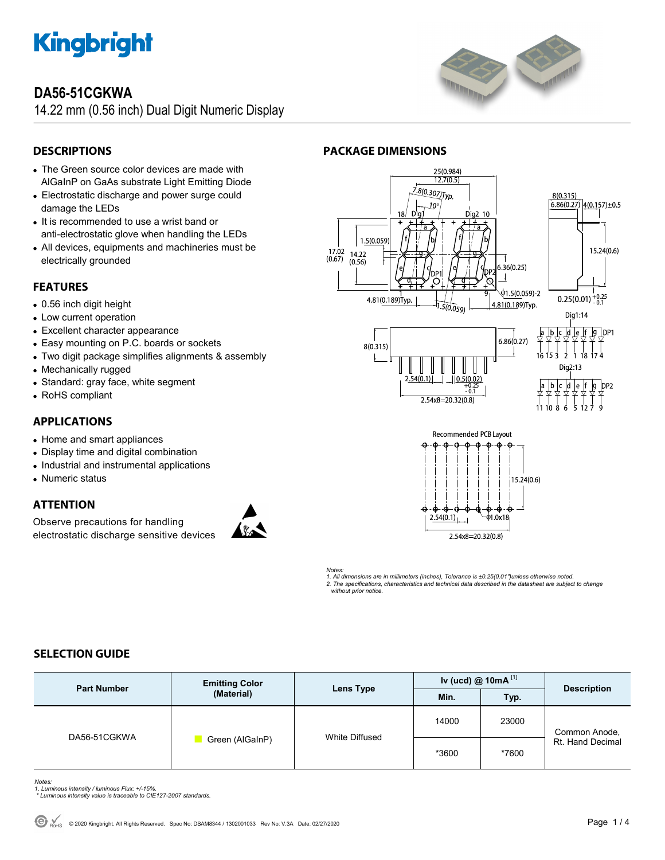

## **DA56-51CGKWA**

14.22 mm (0.56 inch) Dual Digit Numeric Display



### **DESCRIPTIONS**

- The Green source color devices are made with AlGaInP on GaAs substrate Light Emitting Diode
- Electrostatic discharge and power surge could damage the LEDs
- It is recommended to use a wrist band or anti-electrostatic glove when handling the LEDs
- All devices, equipments and machineries must be electrically grounded

#### **FEATURES**

- 0.56 inch digit height
- Low current operation
- Excellent character appearance
- Easy mounting on P.C. boards or sockets
- Two digit package simplifies alignments & assembly
- Mechanically rugged
- Standard: gray face, white segment
- RoHS compliant

#### **APPLICATIONS**

- Home and smart appliances
- Display time and digital combination
- Industrial and instrumental applications
- Numeric status

#### **ATTENTION**

Observe precautions for handling electrostatic discharge sensitive devices



#### 25(0.984)  $12.7(0.5)$ .8(0.307)Typ.  $8(0.315)$  $6.86(0.27)$ 10 Dig2 10 1.5(0.059  $17.02$ <br>(0.67)  $14.22$ <br>(0.56)  $6.36(0.25)$  $\overline{\phantom{a}}$

**PACKAGE DIMENSIONS** 





 $4(0.157) \pm 0.5$ 



*Notes: 1. All dimensions are in millimeters (inches), Tolerance is ±0.25(0.01")unless otherwise noted. 2. The specifications, characteristics and technical data described in the datasheet are subject to change without prior notice.* 

### **SELECTION GUIDE**

| <b>Part Number</b> | <b>Emitting Color</b><br>(Material) | Lens Type      | Iv (ucd) @ $10mA$ <sup>[1]</sup> |       | <b>Description</b>                |
|--------------------|-------------------------------------|----------------|----------------------------------|-------|-----------------------------------|
|                    |                                     |                | Min.                             | Typ.  |                                   |
| DA56-51CGKWA       | Green (AlGaInP)                     | White Diffused | 14000                            | 23000 | Common Anode,<br>Rt. Hand Decimal |
|                    |                                     |                | *3600                            | *7600 |                                   |

- *Notes: 1. Luminous intensity / luminous Flux: +/-15%.*
- *\* Luminous intensity value is traceable to CIE127-2007 standards.*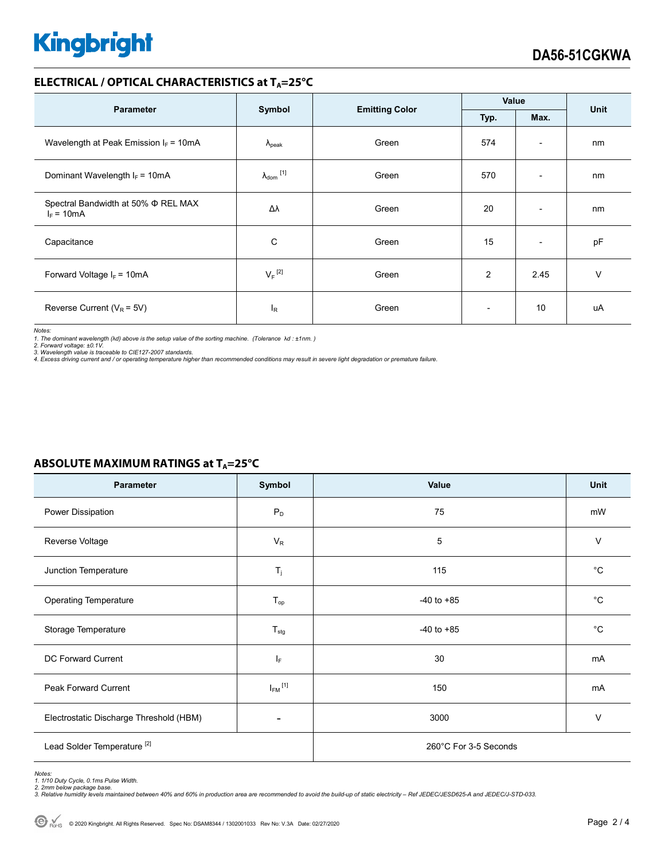# **Kingbright**

#### **ELECTRICAL / OPTICAL CHARACTERISTICS at TA=25°C**

| <b>Parameter</b>                                         | Symbol                     | <b>Emitting Color</b> | Value                    |                          | <b>Unit</b> |
|----------------------------------------------------------|----------------------------|-----------------------|--------------------------|--------------------------|-------------|
|                                                          |                            |                       | Typ.                     | Max.                     |             |
| Wavelength at Peak Emission $I_F = 10mA$                 | $\Lambda_{\rm peak}$       | Green                 | 574                      | $\overline{\phantom{a}}$ | nm          |
| Dominant Wavelength $I_F = 10mA$                         | $\lambda_{\text{dom}}$ [1] | Green                 | 570                      | $\overline{\phantom{a}}$ | nm          |
| Spectral Bandwidth at 50% $\Phi$ REL MAX<br>$I_F = 10mA$ | Δλ                         | Green                 | 20                       | $\overline{\phantom{a}}$ | nm          |
| Capacitance                                              | С                          | Green                 | 15                       | $\overline{\phantom{a}}$ | pF          |
| Forward Voltage $I_F = 10mA$                             | $V_F$ <sup>[2]</sup>       | Green                 | 2                        | 2.45                     | $\vee$      |
| Reverse Current ( $V_R$ = 5V)                            | $I_R$                      | Green                 | $\overline{\phantom{a}}$ | 10                       | uA          |

*Notes:* 

*1. The dominant wavelength (*λ*d) above is the setup value of the sorting machine. (Tolerance* λ*d : ±1nm. )* 

*2. Forward voltage: ±0.1V. 3. Wavelength value is traceable to CIE127-2007 standards.* 

*4. Excess driving current and / or operating temperature higher than recommended conditions may result in severe light degradation or premature failure.* 

# Parameter Symbol Value Unit Power Dissipation and the contract of  $P_D$  and  $P_D$  and  $T$  75 and  $T$  and  $T$  and  $T$  and  $T$  and  $T$  and  $T$  and  $T$  and  $T$  and  $T$  and  $T$  and  $T$  and  $T$  and  $T$  and  $T$  and  $T$  and  $T$  and  $T$  and  $T$  and  $T$  and  $T$ Reverse Voltage  $V$  and  $V_R$  is the verse voltage  $V$  and  $V_R$  is the verse voltage  $V$ Junction Temperature  $\begin{vmatrix} 1 & 1 \end{vmatrix}$   $\begin{vmatrix} 1 & 1 \end{vmatrix}$  and  $\begin{vmatrix} 1 & 1 \end{vmatrix}$  and  $\begin{vmatrix} 1 & 1 \end{vmatrix}$  and  $\begin{vmatrix} 1 & 1 \end{vmatrix}$  and  $\begin{vmatrix} 1 & 1 \end{vmatrix}$  and  $\begin{vmatrix} 1 & 1 \end{vmatrix}$  and  $\begin{vmatrix} 1 & 1 \end{vmatrix}$  and  $\begin{vmatrix} 1 & 1$ Operating Temperature **Top** T<sub>op</sub> T<sub>op</sub> C Storage Temperature and the Contract of the T<sub>stg</sub> and T<sub>stg</sub> and T<sub>stg</sub> and T<sub>stg</sub> and Tstg and the 40 to +85 **Figure 10** Tstg and Tstg and Tstg and Tstg and Tstg and Tstg and Tstg and Tstg and Tstg and Tstg and Tstg and DC Forward Current  $I_F$  and  $I_F$  and  $I_F$  30 mA Peak Forward Current  $I_{FM}$ <sup>[1]</sup>  $^{[1]}$  mA Electrostatic Discharge Threshold (HBM)  $\overline{ }$   $\overline{ }$   $\overline{ }$  3000 3000  $\overline{ }$  V Lead Solder Temperature<sup>[2]</sup> 260°C For 3-5 Seconds

## **ABSOLUTE MAXIMUM RATINGS at TA=25°C**

*Notes: 1. 1/10 Duty Cycle, 0.1ms Pulse Width.* 

*2. 2mm below package base. 3. Relative humidity levels maintained between 40% and 60% in production area are recommended to avoid the build-up of static electricity – Ref JEDEC/JESD625-A and JEDEC/J-STD-033.*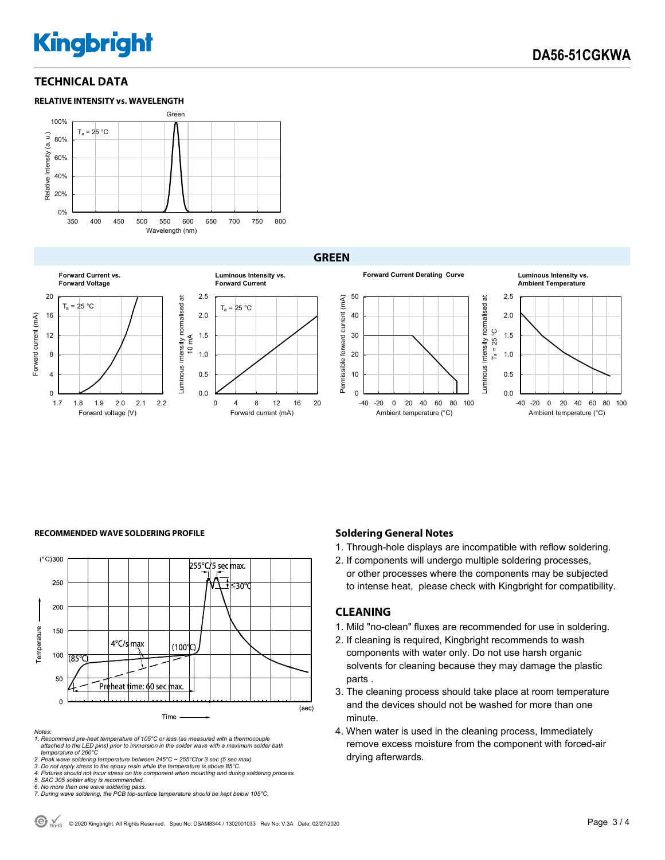# **Kingbright**

#### **TECHNICAL DATA**

#### **RELATIVE INTENSITY vs. WAVELENGTH**



**GREEN** 





#### **RECOMMENDED WAVE SOLDERING PROFILE <b>A CONDUCT A CONDUCT SOLDERING PROFILE Soldering General Notes**



*Notes:* 

*1. Recommend pre-heat temperature of 105°C or less (as measured with a thermocouple attached to the LED pins) prior to immersion in the solder wave with a maximum solder bath temperature of 260°C* 

2. Peak wave soldering temperature between 245°C ~ 255°Cfor 3 sec (5 sec max).<br>3. Do not apply stress to the epoxy resin while the temperature is above 85°C.<br>4. Fixtures should not incur stress on the component when mounti

*5. SAC 305 solder alloy is recommended.* 

*6. No more than one wave soldering pass. 7. During wave soldering, the PCB top-surface temperature should be kept below 105°C.*

1. Through-hole displays are incompatible with reflow soldering.

2. If components will undergo multiple soldering processes, or other processes where the components may be subjected to intense heat, please check with Kingbright for compatibility.

#### **CLEANING**

- 1. Mild "no-clean" fluxes are recommended for use in soldering.
- 2. If cleaning is required, Kingbright recommends to wash components with water only. Do not use harsh organic solvents for cleaning because they may damage the plastic parts .
- 3. The cleaning process should take place at room temperature and the devices should not be washed for more than one minute.
- 4. When water is used in the cleaning process, Immediately remove excess moisture from the component with forced-air drying afterwards.